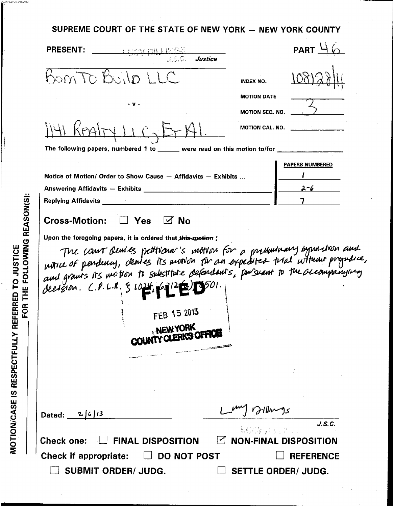SUPREME COURT OF THE STATE OF NEW YORK - NEW YORK COUNTY

 $\sim$  SCANNED ON 2/15/2013

|                            | BomTo Build LLC                                                                                                         |                                                                                                                                                                                                                                      |
|----------------------------|-------------------------------------------------------------------------------------------------------------------------|--------------------------------------------------------------------------------------------------------------------------------------------------------------------------------------------------------------------------------------|
|                            |                                                                                                                         | <b>INDEX NO.</b>                                                                                                                                                                                                                     |
|                            | - v -                                                                                                                   | <b>MOTION DATE</b>                                                                                                                                                                                                                   |
|                            |                                                                                                                         | MOTION SEQ. NO.                                                                                                                                                                                                                      |
|                            |                                                                                                                         | MOTION CAL. NO.                                                                                                                                                                                                                      |
|                            | The following papers, numbered 1 to ______ were read on this motion to/for _________                                    |                                                                                                                                                                                                                                      |
|                            |                                                                                                                         | <b>PAPERS NUMBERED</b>                                                                                                                                                                                                               |
|                            | Notice of Motion/ Order to Show Cause - Affidavits - Exhibits                                                           |                                                                                                                                                                                                                                      |
|                            | Answering Affidavits - Exhibits <b>Community Contract Contract Contract Contract Contract Contract Contract Control</b> | $2 - 6$                                                                                                                                                                                                                              |
| <b>Replying Affidavits</b> |                                                                                                                         |                                                                                                                                                                                                                                      |
|                            |                                                                                                                         |                                                                                                                                                                                                                                      |
|                            | FEB 15 2013<br>NEW YORK<br>COUNTY CLERKS OFFICE                                                                         | The court devies petitionar's motion for a prenumary improction and<br>notice of pendency, cleares its motion for an expedited trial without prejudice,<br>and grants its motion to substitute defendants, pursuant to the accompany |
|                            |                                                                                                                         |                                                                                                                                                                                                                                      |
|                            |                                                                                                                         |                                                                                                                                                                                                                                      |
|                            |                                                                                                                         |                                                                                                                                                                                                                                      |
| Dated: $2/6/13$            |                                                                                                                         | <i><b>Dillumous</b></i><br>J.S.C.                                                                                                                                                                                                    |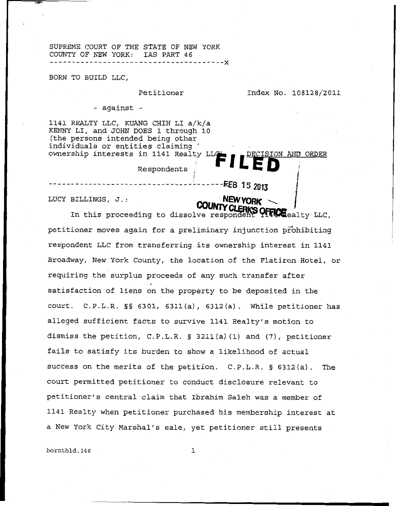SUPREME COURT OF THE STATE OF NEW YORK COUNTY OF NEW YORK: IAS PART 46

BORN **TO** BUILD LLC,

Petitioner **Index No. 108128/2011** 

- against -

1141 REALTY LLC, KUANG CHIH LI a/k/a KENNY LI, and JOHN DOES 1 through 10 (the persons intended being other individuals or entities claiming ' ownership interests in 1141 Realty LL **I** *A <sub>7</sub> DECISION AND ORDER* 

i Respondents

LUCY BILLINGS, J.:

SOFFICE ealty LLC, In this proceeding to dissolve responden petitioner moves again for a preliminary injunction pFohibiting respondent LLC from transferring its ownership interest in 1141 Broadway, New York County, the location of the Flatiron Hotel, or requiring the surplus proceeds of any such transfer after satisfaction of liens on the property to be deposited in the court. C.P.L.R. §§ 6301, **6311(a)** , 6312(a) \* While petitioner has alleged sufficient facts to survive 1141 Realty's motion to dismiss the petition, C.P.L.R. § 321l(a)(1) and **(7),** petitioner fails to satisfy its burden to show a likelihood of actual Success on the merits of the petition. C.P.L.R. § **6312(a).** The court permitted petitioner to conduct disclosure relevant to petitioner's central claim that Ibrahim Saleh was a member of 1141 Realty when petitioner purchased his membership interest at a New York City Marshal's sale, yet petitioner still presents

!

**NEW YORK** 

**borntbld.146** 1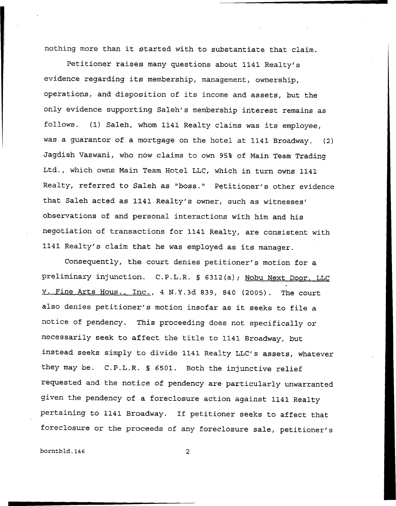nothing more than it started with to substantiate that claim.

Petitioner raises many questions about 1141 Realty's evidence regarding its membership, management, ownership, operations, and disposition of its income and assets, but the only evidence supporting **Saleh's** membership interest remains as follows. (1) Saleh, whom 1141 Realty claims was its employee, was a guarantor of a mortgage on the hotel at 1141 Broadway. (2) Jagdish Vaswani, who now claims to own 95% of Main Team Trading Ltd., which owns Main Team Hotel LLC, which in turn owns 1141 Realty, referred to Saleh as "boss." Petitioner's other evidence that Saleh acted as 1141 Realty's owner, such as witnesses' observations of and personal interactions with him and his negotiation of transactions for 1141 Realty, are consistent with 1141 Realty's claim that he was employed as its manager.

Consequently, the court denies petitioner's motion for a preliminary injunction. C.P.L.R. § 6312(a); Nobu Next Door, LLC v. Fine Arts Hous., Inc., 4 N.Y.3d 839, 840 (2005). The court also denies petitioner's motion insofar as it seeks to file a notice of pendency. This proceeding does not specifically or necessarily seek to affect the title to 1141 Broadway, but instead seeks simply to divide 1141 Realty LLC's assets, whatever they may be. C.P.L.R. § 6501. Both the injunctive relief requested and the notice of pendency are particularly unwarranted given the pendency of a foreclosure action against 1141 Realty pertaining to 1141 Broadway. If petitioner seeks to affect that foreclosure or the proceeds of any foreclosure sale, petitioner's

**borntbld.146** 2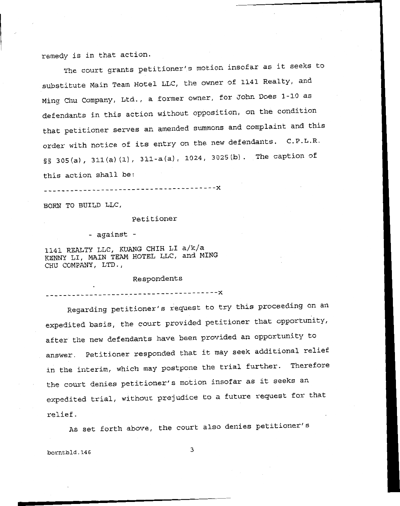remedy is in that action.

The court grants petitioner's motion insofar as it seeks to substitute Main Team Hotel LLC, the owner of **1141** Realty, and Ming Chu Company, Ltd., a former owner, for John Does 1-10 **as**  defendants in this action without opposition, on the condition that petitioner serves an amended summons and complaint and this order with notice of its entry on the new defendants. C.P.L.R. §§ 305(a), **311(a)** (1) , 311-a(a) , 1024, 3025(b) The caption of

this action shall be:

**\_I\_\_\_\_\_\_\_\_\_\_\_\_\_\_\_--\_\_\_\_\_\_\_\_\_\_\_\_\_\_\_\_f\_\_ -X** 

**BORN TO BUILD LLC,** 

Petitioner

- against -

1141 **REALTY** LLC, KUANG CHIH LI a/k/a **KENNY** LI, **MAIN TEAM** HOTEL LLC, and **MING**  CHU **COMPANY,** LTD.,

Respondents

\_----\_-- \_\_\_\_\_\_\_\_\_\_\_\_\_-\_\_\_------------- **-X** 

Regarding petitioner's request to try this proceeding on an expedited basis, the court provided petitioner that opportunity, after the new defendants have been provided an opportunity to answer. Petitioner responded that it may seek additional relief in the interim, which may postpone the trial further. Therefore the court denies petitioner's motion insofar as it seeks an expedited trial, without prejudice to a future request for that relief.

As set forth above, the court also denies petitioner's

**3 borntbld .14** *6*